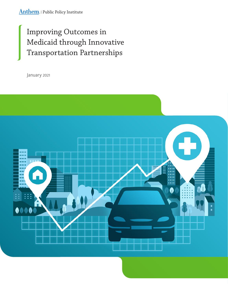# Improving Outcomes in Medicaid through Innovative Transportation Partnerships

January 2021

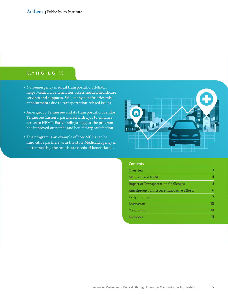## KEY HIGHLIGHTS

- Non-emergency medical transportation (NEMT) helps Medicaid beneficiaries access needed healthcare services and supports. Still, many beneficiaries miss appointments due to transportation-related issues.
- Amerigroup Tennessee and its transportation vendor, Tennessee Carriers, partnered with Lyft to enhance access to NEMT. Early findings suggest the program has improved outcomes and beneficiary satisfaction.
- This program is an example of how MCOs can be innovative partners with the state Medicaid agency in better meeting the healthcare needs of beneficiaries.



### **Contents**

| Overview                                   | 3  |
|--------------------------------------------|----|
| Medicaid and NEMT                          | Δ  |
| <b>Impact of Transportation Challenges</b> | 5  |
| Amerigroup Tennessee's Innovative Efforts  | 6  |
| <b>Early Findings</b>                      |    |
| Discussion                                 | 10 |
| Conclusion                                 | າດ |
| Endnotes                                   |    |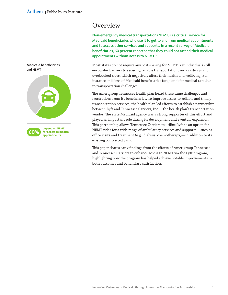<span id="page-2-0"></span>

## **Overview**

Non-emergency medical transportation (NEMT) is a critical service for Medicaid beneficiaries who use it to get to and from medical appointments and to access other services and supports. In a recent survey of Medicaid beneficiaries, 60 percent reported that they could not attend their medical appointments without access to NEMT.<sup>1</sup>

Most states do not require any cost sharing for NEMT. Yet individuals still encounter barriers to securing reliable transportation, such as delays and overbooked rides, which negatively affect their health and wellbeing. For instance, millions of Medicaid beneficiaries forgo or defer medical care due to transportation challenges.

The Amerigroup Tennessee health plan heard these same challenges and frustrations from its beneficiaries. To improve access to reliable and timely transportation services, the health plan led efforts to establish a partnership between Lyft and Tennessee Carriers, Inc.—the health plan's transportation vendor. The state Medicaid agency was a strong supporter of this effort and played an important role during its development and eventual expansion. This partnership allows Tennessee Carriers to utilize Lyft as an option for NEMT rides for a wide range of ambulatory services and supports—such as office visits and treatment (e.g., dialysis, chemotherapy)—in addition to its existing contracted vans.

This paper shares early findings from the efforts of Amerigroup Tennessee and Tennessee Carriers to enhance access to NEMT via the Lyft program, highlighting how the program has helped achieve notable improvements in both outcomes and beneficiary satisfaction.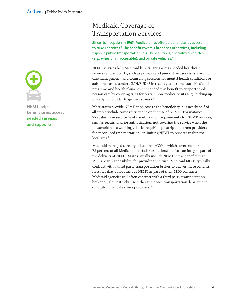<span id="page-3-0"></span>

NEMT helps beneficiaries access needed services and supports.

## Medicaid Coverage of Transportation Services

Since its inception in 1965, Medicaid has offered beneficiaries access to NEMT services.<sup>2</sup> The benefit covers a broad set of services, including trips via public transportation (e.g., buses), taxis, specialized vehicles (e.g., wheelchair accessible), and private vehicles.<sup>3</sup>

NEMT services help Medicaid beneficiaries access needed healthcare services and supports, such as primary and preventive care visits, chronic care management, and counseling sessions for mental health conditions or substance use disorders (MH/SUD).<sup>4</sup> In recent years, some state Medicaid programs and health plans have expanded this benefit to support whole person care by covering trips for certain non-medical visits (e.g., picking up prescriptions, rides to grocery stores).5

Most states provide NEMT at no cost to the beneficiary, but nearly half of all states include some restrictions on the use of NEMT. 6 For instance, 22 states have service limits or utilization requirements for NEMT services, such as requiring prior authorization, not covering the service when the household has a working vehicle, requiring prescriptions from providers for specialized transportation, or limiting NEMT to services within the local area.<sup>7</sup>

Medicaid managed care organizations (MCOs), which cover more than 75 percent of all Medicaid beneficiaries nationwide,<sup>8</sup> are an integral part of the delivery of NEMT. States usually include NEMT in the benefits that MCOs bear responsibility for providing.<sup>9</sup> In turn, Medicaid MCOs typically contract with a third party transportation broker to deliver these benefits. In states that do not include NEMT as part of their MCO contracts, Medicaid agencies will often contract with a third party transportation broker or, alternatively, use either their own transportation department or local/municipal service providers.<sup>10</sup>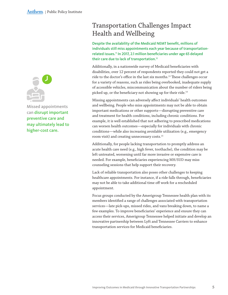<span id="page-4-0"></span>

Missed appointments can disrupt important preventive care and may ultimately lead to higher-cost care.

## Transportation Challenges Impact Health and Wellbeing

Despite the availability of the Medicaid NEMT benefit, millions of individuals still miss appointments each year because of transportationrelated issues.11 In 2017, 2.1 million beneficiaries under age 65 delayed their care due to lack of transportation.<sup>12</sup>

Additionally, in a nationwide survey of Medicaid beneficiaries with disabilities, over 12 percent of respondents reported they could not get a ride to the doctor's office in the last six months.13 These challenges occur for a variety of reasons, such as rides being overbooked, inadequate supply of accessible vehicles, miscommunication about the number of riders being picked up, or the beneficiary not showing up for their ride.<sup>14</sup>

Missing appointments can adversely affect individuals' health outcomes and wellbeing. People who miss appointments may not be able to obtain important medications or other supports—disrupting preventive care and treatment for health conditions, including chronic conditions. For example, it is well established that not adhering to prescribed medications can worsen health outcomes—especially for individuals with chronic conditions—while also increasing avoidable utilization (e.g., emergency room visit) and creating unnecessary costs.15

Additionally, for people lacking transportation to promptly address an acute health care need (e.g., high fever, toothache), the condition may be left untreated, worsening until far more invasive or expensive care is needed. For example, beneficiaries experiencing MH/SUD may miss counseling sessions that help support their recovery.

Lack of reliable transportation also poses other challenges to keeping healthcare appointments. For instance, if a ride falls through, beneficiaries may not be able to take additional time off work for a rescheduled appointment.

Focus groups conducted by the Amerigroup Tennessee health plan with its members identified a range of challenges associated with transportation services—late pick-ups, missed rides, and vans breaking down, to name a few examples. To improve beneficiaries' experience and ensure they can access their services, Amerigroup Tennessee helped initiate and develop an innovative partnership between Lyft and Tennessee Carriers to enhance transportation services for Medicaid beneficiaries.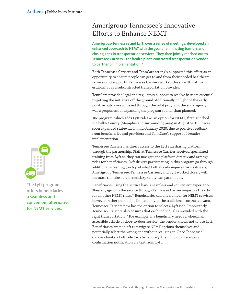## <span id="page-5-0"></span>Amerigroup Tennessee's Innovative Efforts to Enhance NEMT

Amerigroup Tennessee and Lyft, over a series of meetings, developed an enhanced approach to NEMT with the goal of eliminating barriers and closing gaps in transportation services. They then jointly reached out to Tennessee Carriers—the health plan's contracted transportation vendor to partner on implementation.<sup>16</sup>

Both Tennessee Carriers and TennCare strongly supported this effort as an opportunity to ensure people can get to and from their needed healthcare services and supports. Tennessee Carriers worked closely with Lyft to establish it as a subcontracted transportation provider.

TennCare provided legal and regulatory support to resolve barriers essential to getting the initiative off the ground. Additionally, in light of the early positive outcomes achieved through the pilot program, the state agency was a proponent of expanding the program sooner than planned.

The program, which adds Lyft rides as an option for NEMT, first launched in Shelby County (Memphis and surrounding area) in August 2019. It was soon expanded statewide in mid-January 2020, due to positive feedback from beneficiaries and providers and TennCare's support of broader implementation.

Tennessee Carriers has direct access to the Lyft ridesharing platform through the partnership. Staff at Tennessee Carriers received specialized training from Lyft so they can navigate the platform directly and arrange rides for beneficiaries. Lyft drivers participating in this program go through additional screening (on top of what Lyft already requires for its drivers). Amerigroup Tennessee, Tennessee Carriers, and Lyft worked closely with the state to make sure beneficiary safety was paramount.

Beneficiaries using the service have a seamless and convenient experience. They engage with the service through Tennessee Carriers—just as they do for all other NEMT rides.<sup>17</sup> Beneficiaries call one number for NEMT services; however, rather than being limited only to the traditional contracted vans, Tennessee Carriers now has the option to select a Lyft ride. Importantly, Tennessee Carriers also ensures that each individual is provided with the right transportation.18 For example, if a beneficiary needs a wheelchair accessible vehicle or door-to-door service, the vendor knows not to use Lyft. Beneficiaries are not left to navigate NEMT options themselves and potentially select the wrong one without realizing it. Once Tennessee Carriers books a Lyft ride for a beneficiary, the individual receives a confirmation notification via text from Lyft.



The Lyft program offers beneficiaries a seamless and convenient alternative for NEMT services.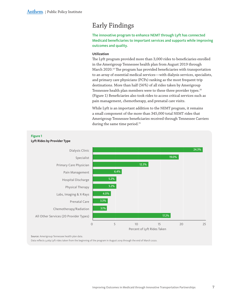## <span id="page-6-0"></span>Early Findings

The innovative program to enhance NEMT through Lyft has connected Medicaid beneficiaries to important services and supports while improving outcomes and quality.

### **Utilization**

The Lyft program provided more than 3,000 rides to beneficiaries enrolled in the Amerigroup Tennessee health plan from August 2019 through March 2020.19 The program has provided beneficiaries with transportation to an array of essential medical services—with dialysis services, specialists, and primary care physicians (PCPs) ranking as the most frequent trip destinations. More than half (56%) of all rides taken by Amerigroup Tennessee health plan members were to these three provider types.<sup>20</sup> (Figure 1) Beneficiaries also took rides to access critical services such as pain management, chemotherapy, and prenatal care visits.

While Lyft is an important addition to the NEMT program, it remains a small component of the more than 345,000 total NEMT rides that Amerigroup Tennessee beneficiaries received through Tennessee Carriers during the same time period.<sup>21</sup>



Source: Amerigroup Tennessee health plan data.

Data reflects 3,069 Lyft rides taken from the beginning of the program in August 2019 through the end of March 2020.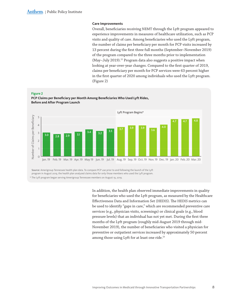### **Care Improvements**

Overall, beneficiaries receiving NEMT through the Lyft program appeared to experience improvements in measures of healthcare utilization, such as PCP visits and quality of care. Among beneficiaries who used the Lyft program, the number of claims per beneficiary per month for PCP visits increased by 13 percent during the first three full months (September–November 2019) of the program compared to the three months prior to implementation (May-July 2019).<sup>22</sup> Program data also suggests a positive impact when looking at year-over-year changes. Compared to the first quarter of 2019, claims per beneficiary per month for PCP services were 63 percent higher in the first quarter of 2020 among individuals who used the Lyft program. (Figure 2)



Source: Amerigroup Tennessee health plan data. To compare PCP use prior to and following the launch of the Lyft program in August 2019, the health plan analyzed claims data for only those members who used the Lyft program.

\* The Lyft program began serving Amerigroup Tennessee members on August 19, 2019.

In addition, the health plan observed immediate improvements in quality for beneficiaries who used the Lyft program, as measured by the Healthcare Effectiveness Data and Information Set (HEDIS). The HEDIS metrics can be used to identify "gaps in care," which are recommended preventive care services (e.g., physician visits, screenings) or clinical goals (e.g., blood pressure levels) that an individual has not yet met. During the first three months of the Lyft program (roughly mid-August 2019 through mid-November 2019), the number of beneficiaries who visited a physician for preventive or outpatient services increased by approximately 50 percent among those using Lyft for at least one ride.<sup>23</sup>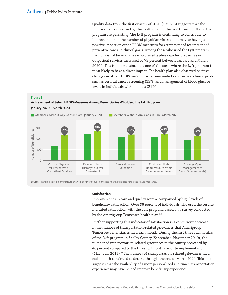Quality data from the first quarter of 2020 (Figure 3) suggests that the improvements observed by the health plan in the first three months of the program are persisting. The Lyft program is continuing to contribute to improvements in the number of physician visits and it may be having a positive impact on other HEDIS measures for attainment of recommended preventive care and clinical goals. Among those who used the Lyft program, the number of beneficiaries who visited a physician for preventive or outpatient services increased by 73 percent between January and March 2020.<sup>24</sup> This is notable, since it is one of the areas where the Lyft program is most likely to have a direct impact. The health plan also observed positive changes in other HEDIS metrics for recommended services and clinical goals, such as cervical cancer screening (13%) and management of blood glucose levels in individuals with diabetes (21%).<sup>25</sup>

#### **Figure 3**

#### **Achievement of Select HEDIS Measures Among Beneficiaries Who Used the Lyft Program**



Source: Anthem Public Policy Institute analysis of Amerigroup Tennessee health plan data for select HEDIS measures.

#### **Satisfaction**

Improvements in care and quality were accompanied by high levels of beneficiary satisfaction. Over 96 percent of individuals who used the service indicated satisfaction with the Lyft program, based on a survey conducted by the Amerigroup Tennessee health plan.<sup>26</sup>

Further supporting this indicator of satisfaction is a concurrent decrease in the number of transportation-related grievances that Amerigroup Tennessee beneficiaries filed each month. During the first three full months of the Lyft program in Shelby County (September–November 2019), the number of transportation-related grievances in the county decreased by 46 percent compared to the three full months prior to implementation (May–July 2019).27 The number of transportation-related grievances filed each month continued to decline through the end of March 2020. This data suggests that the availability of a more personalized and timely transportation experience may have helped improve beneficiary experience.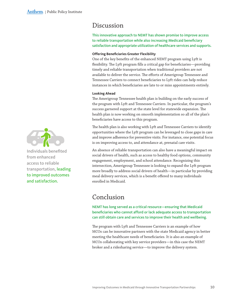## <span id="page-9-0"></span>Discussion

### This innovative approach to NEMT has shown promise to improve access to reliable transportation while also increasing Medicaid beneficiary satisfaction and appropriate utilization of healthcare services and supports.

### **Offering Beneficiaries Greater Flexibility**

One of the key benefits of the enhanced NEMT program using Lyft is flexibility. The Lyft program fills a critical gap for beneficiaries—providing timely and reliable transportation when traditional providers are not available to deliver the service. The efforts of Amerigroup Tennessee and Tennessee Carriers to connect beneficiaries to Lyft rides can help reduce instances in which beneficiaries are late to or miss appointments entirely.

#### **Looking Ahead**

The Amerigroup Tennessee health plan is building on the early success of the program with Lyft and Tennessee Carriers. In particular, the program's success garnered support at the state level for statewide expansion. The health plan is now working on smooth implementation so all of the plan's beneficiaries have access to this program.

The health plan is also working with Lyft and Tennessee Carriers to identify opportunities where the Lyft program can be leveraged to close gaps in care and improve adherence for preventive visits. For instance, one potential focus is on improving access to, and attendance at, prenatal care visits.

An absence of reliable transportation can also have a meaningful impact on social drivers of health, such as access to healthy food options, community engagement, employment, and school attendance. Recognizing this intersection, Amerigroup Tennessee is looking to expand the Lyft program more broadly to address social drivers of health—in particular by providing meal delivery services, which is a benefit offered to many individuals enrolled in Medicaid.

## Conclusion

NEMT has long served as a critical resource—ensuring that Medicaid beneficiaries who cannot afford or lack adequate access to transportation can still obtain care and services to improve their health and wellbeing.

The program with Lyft and Tennessee Carriers is an example of how MCOs can be innovative partners with the state Medicaid agency in better meeting the healthcare needs of beneficiaries. It is also an example of MCOs collaborating with key service providers—in this case the NEMT broker and a ridesharing service—to improve the delivery system.



Individuals benefited from enhanced access to reliable transportation, leading to improved outcomes and satisfaction.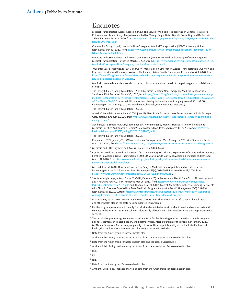## <span id="page-10-0"></span>Endnotes

- <sup>1</sup> Medical Transportation Access Coalition. (n.d.). The Value of Medicaid's Transportation Benefit: Results of a Return on Investment Study. Analysis conducted by Wakely, Faegre Baker Daniels Consulting, and Dr. Patricia Salber. Retrieved May 28, 2020, from [https://mtaccoalition.org/wp-content/uploads/](https://mtaccoalition.org/wp-content/uploads/2018/08/NEMT-ROI-Study-Results-One-Pager.pdf)2018/08/NEMT-ROI-Study-[Results-One-Pager.pdf.](https://mtaccoalition.org/wp-content/uploads/2018/08/NEMT-ROI-Study-Results-One-Pager.pdf)
- $2$  Community Catalyst. (n.d.). Medicaid Non-Emergency Medical Transportation (NEMT) Advocacy Guide. Retrieved March 30, 2020, from [https://www.communitycatalyst.org/resources/publications/document/](https://www.communitycatalyst.org/resources/publications/document/2019/NEMT-Advocacy-Toolkit.pdf)2019/ [NEMT-Advocacy-Toolkit.pdf](https://www.communitycatalyst.org/resources/publications/document/2019/NEMT-Advocacy-Toolkit.pdf).
- <sup>3</sup> Medicaid and CHIP Payment and Access Commission. (2019, May). Medicaid Coverage of Non-Emergency Medical Transportation. Retrieved March 31, 2020, from [https://www.macpac.gov/wp-content/uploads/](https://www.macpac.gov/wp-content/uploads/2019/05/Medicaid-Coverage-of-Non-Emergency-Medical-Transportation.pdf)2019/05/ [Medicaid-Coverage-of-Non-Emergency-Medical-Transportation.pdf](https://www.macpac.gov/wp-content/uploads/2019/05/Medicaid-Coverage-of-Non-Emergency-Medical-Transportation.pdf).
- <sup>4</sup> Musumeci, M. & Rudowitz, R. (2016, February). Medicaid Non-Emergency Medical Transportation: Overview and Key Issues in Medicaid Expansion Waivers. The Henry J. Kaiser Family Foundation. Retrieved April 1, 2020, from [https://www.kff.org/medicaid/issue-brief/medicaid-non-emergency-medical-transportation-overview-and-key](https://www.kff.org/medicaid/issue-brief/medicaid-non-emergency-medical-transportation-overview-and-key-issues-in-medicaid-expansion-waivers/)[issues-in-medicaid-expansion-waivers/.](https://www.kff.org/medicaid/issue-brief/medicaid-non-emergency-medical-transportation-overview-and-key-issues-in-medicaid-expansion-waivers/)
- $5$  Medicaid managed care plans are also covering this as a value added benefit to help close gaps in social drivers of health.
- <sup>6</sup> The Henry J. Kaiser Family Foundation. (2020). Medicaid Benefits: Non-Emergency Medical Transportation Services – 2018. Retrieved March 30, 2020, from [https://www.kff.org/medicaid/state-indicator/non-emergency](https://www.kff.org/medicaid/state-indicator/non-emergency-medical-transportation-services/?currentTimeframe=0&sortModel=%7B%22colId%22:%22Location%22,%22sort%22:%22asc%22%7D)[medical-transportation-services/?currentTimeframe=](https://www.kff.org/medicaid/state-indicator/non-emergency-medical-transportation-services/?currentTimeframe=0&sortModel=%7B%22colId%22:%22Location%22,%22sort%22:%22asc%22%7D)0&sortModel=%7B%22colId%22:%22Location%22,%22sort %22:%22[asc%](https://www.kff.org/medicaid/state-indicator/non-emergency-medical-transportation-services/?currentTimeframe=0&sortModel=%7B%22colId%22:%22Location%22,%22sort%22:%22asc%22%7D)22%7D. States that did require cost-sharing indicated amount ranging from \$0.50 to \$2.00, depending on the vehicle (e.g., specialized medical vehicle, non-emergent ambulance)
- <sup>7</sup> The Henry J. Kaiser Family Foundation. (2020).
- <sup>8</sup>America's Health Insurance Plans. (2020, June 23). New Study: States Increase Transition to Medicaid Managed Care. Retrieved August 8, 2020, from [https://www.ahip.org/new-study-states-increase-transition-to-medicaid](https://www.ahip.org/new-study-states-increase-transition-to-medicaid-managed-care/)[managed-care/.](https://www.ahip.org/new-study-states-increase-transition-to-medicaid-managed-care/)
- <sup>9</sup> Adelberg, M. & Simon, M. (2017, September 20). Non-Emergency Medical Transportation: Will Reshaping Medicaid Sacrifice An Important Benefit? Health Affairs Blog. Retrieved March 30, 2020, from [https://www.](https://www.healthaffairs.org/do/10.1377/hblog20170920.062063/full/) [healthaffairs.org/do/](https://www.healthaffairs.org/do/10.1377/hblog20170920.062063/full/)10.1377/hblog20170920.062063/full/.
- <sup>10</sup> The Henry J. Kaiser Family Foundation. (2020).
- <sup>11</sup> Komenda, J. (2017, January 13). 5 Ways Healthcare Transportation Must Change in 2017. MedCity News. Retrieved March 30, 2020, from https://medcitynews.com/2017/01/5[-ways-healthcare-transportation-must-change-](https://medcitynews.com/2017/01/5-ways-healthcare-transportation-must-change-2017/)2017/.
- <sup>12</sup> Medicaid and CHIP Payment and Access Commission. (2019, May).
- <sup>13</sup> Centers for Medicare & Medicaid Services. (2017, November). Health Care Experiences of Adults with Disabilities Enrolled in Medicaid Only: Findings from a 2014-2015 Nationwide Survey of Medicaid Beneficiaries. Retrieved March 31, 2020, from [https://www.medicaid.gov/medicaid/quality-of-care/downloads/performance-measure](https://www.medicaid.gov/medicaid/quality-of-care/downloads/performance-measurement/namcahpsdisabilitybrief.pdf)[ment/namcahpsdisabilitybrief.pdf](https://www.medicaid.gov/medicaid/quality-of-care/downloads/performance-measurement/namcahpsdisabilitybrief.pdf).
- <sup>14</sup> McLeod, K., et al. (2015, December). Missed or Delayed Medicaid Care Appointments by Older Users of Nonemergency Medical Transportation. *Gerontologist 55*(6), 1026-1037. Retrieved May 28, 2020, from [https://www.ncbi.nlm.nih.gov/pmc/articles/PMC](https://www.ncbi.nlm.nih.gov/pmc/articles/PMC4668763/pdf/gnu002.pdf)4668763/pdf/gnu002.pdf.
- <sup>15</sup> See for example: Iuga, A. & McGuire, M. (2014, February 20). Adherence and Health Care Costs. *Risk Management and Healthcare Policy 7*, 35-44. Retrieved May 26, 2020, from [https://www.ncbi.nlm.nih.gov/pmc/articles/](https://www.ncbi.nlm.nih.gov/pmc/articles/PMC3934668/pdf/rmhp-7-035.pdf) PMC3934668[/pdf/rmhp-](https://www.ncbi.nlm.nih.gov/pmc/articles/PMC3934668/pdf/rmhp-7-035.pdf)7-035.pdf; and Khanna, R., et al. (2012, March). Medication Adherence Among Recipients with Chronic Diseases Enrolled in a State Medicaid Program. *Population Health Management 15*(5), 253-260. Retrieved May 26, 2020, from: [https://www.researchgate.net/publication/](https://www.researchgate.net/publication/221687326_Medication_Adherence_Among_Recipients_with_Chronic_Diseases_Enrolled_in_a_State_Medicaid_Program)221687326\_Medication\_Adherence\_ [Among\\_Recipients\\_with\\_Chronic\\_Diseases\\_Enrolled\\_in\\_a\\_State\\_Medicaid\\_Program](https://www.researchgate.net/publication/221687326_Medication_Adherence_Among_Recipients_with_Chronic_Diseases_Enrolled_in_a_State_Medicaid_Program).
- <sup>16</sup> In its capacity as the NEMT vendor, Tennessee Carriers holds the contract with Lyft; since its launch, at least one other health plan in the state has also adopted this program.
- $17$  Per the program parameters, to qualify for Lyft rides beneficiaries must be able to send and receive texts and connect to the internet via a smartphone. Additionally, all riders must be ambulatory and utilizing curb-to-curb services.
- <sup>18</sup> The initial pilot program agreement excluded any trips for the following reasons: behavioral health, drug and alcohol treatment, crisis stabilization, and pharmacy trips. After expansion of the program in January 2020, MCOs and Tennessee Carriers may request Lyft trips for these appointment types, but selected behavioral health, drug and alcohol treatment, and pharmacy trips remain excluded.
- <sup>19</sup> Data from the Amerigroup Tennessee health plan.
- <sup>20</sup> Anthem Public Policy Institute analysis of data from the Amerigroup Tennessee health plan.
- <sup>21</sup> Data from the Amerigroup Tennessee health plan and Tennessee Carriers, Inc.
- <sup>22</sup> Anthem Public Policy Institute analysis of data from the Amerigroup Tennessee health plan.
- $23$  Ibid.
- $24$  Ibid.
- $25$  Ibid.
- <sup>26</sup> Data from the Amerigroup Tennessee health plan.
- $27$  Anthem Public Policy Institute analysis of data from the Amerigroup Tennessee health plan.